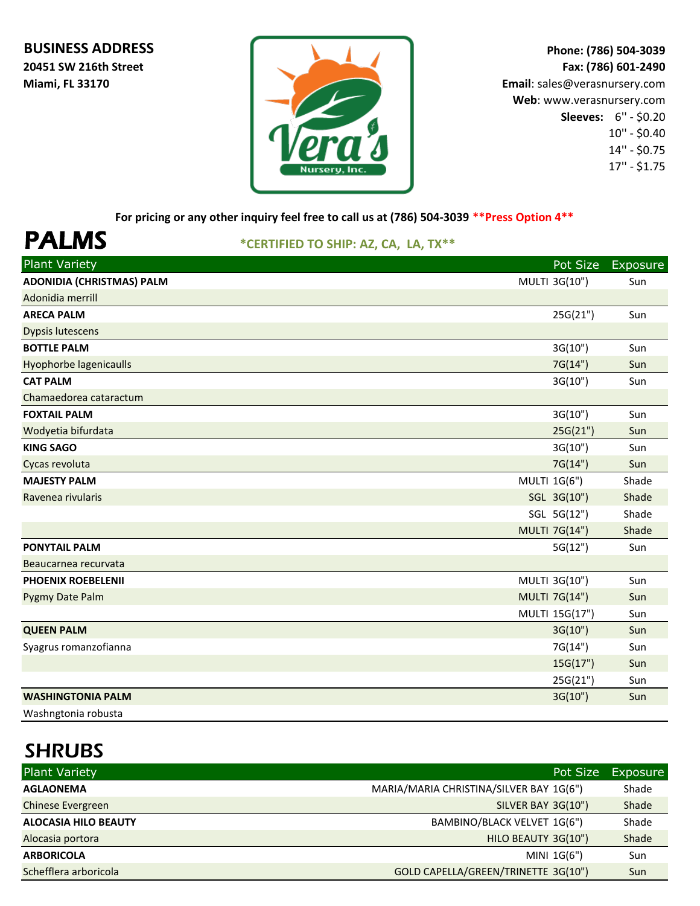#### **BUSINESS ADDRESS**

**20451 SW 216th Street Miami, FL 33170**



**Phone: (786) 504-3039 Fax: (786) 601-2490 Email**: sales@verasnursery.com **Web**: www.verasnursery.com **Sleeves:** 6'' - \$0.20 10'' - \$0.40 14'' - \$0.75 17'' - \$1.75

**For pricing or any other inquiry feel free to call us at (786) 504-3039 \*\*Press Option 4\*\***

# PALMS **\*CERTIFIED TO SHIP: AZ, CA, LA, TX\*\***

| <b>Plant Variety</b>             | Pot Size             | Exposure |
|----------------------------------|----------------------|----------|
| <b>ADONIDIA (CHRISTMAS) PALM</b> | MULTI 3G(10")        | Sun      |
| Adonidia merrill                 |                      |          |
| <b>ARECA PALM</b>                | 25G(21")             | Sun      |
| <b>Dypsis lutescens</b>          |                      |          |
| <b>BOTTLE PALM</b>               | 3G(10")              | Sun      |
| <b>Hyophorbe lagenicaulls</b>    | 7G(14")              | Sun      |
| <b>CAT PALM</b>                  | 3G(10")              | Sun      |
| Chamaedorea cataractum           |                      |          |
| <b>FOXTAIL PALM</b>              | 3G(10")              | Sun      |
| Wodyetia bifurdata               | 25G(21")             | Sun      |
| <b>KING SAGO</b>                 | 3G(10")              | Sun      |
| Cycas revoluta                   | 7G(14")              | Sun      |
| <b>MAJESTY PALM</b>              | MULTI 1G(6")         | Shade    |
| Ravenea rivularis                | SGL 3G(10")          | Shade    |
|                                  | SGL 5G(12")          | Shade    |
|                                  | <b>MULTI 7G(14")</b> | Shade    |
| <b>PONYTAIL PALM</b>             | 5G(12")              | Sun      |
| Beaucarnea recurvata             |                      |          |
| <b>PHOENIX ROEBELENII</b>        | MULTI 3G(10")        | Sun      |
| Pygmy Date Palm                  | <b>MULTI 7G(14")</b> | Sun      |
|                                  | MULTI 15G(17")       | Sun      |
| <b>QUEEN PALM</b>                | 3G(10")              | Sun      |
| Syagrus romanzofianna            | 7G(14")              | Sun      |
|                                  | 15G(17")             | Sun      |
|                                  | 25G(21")             | Sun      |
| <b>WASHINGTONIA PALM</b>         | 3G(10")              | Sun      |
| Washngtonia robusta              |                      |          |

| <b>Plant Variety</b>        |                                         | Pot Size | Exposure |
|-----------------------------|-----------------------------------------|----------|----------|
| <b>AGLAONEMA</b>            | MARIA/MARIA CHRISTINA/SILVER BAY 1G(6") |          | Shade    |
| <b>Chinese Evergreen</b>    | SILVER BAY 3G(10")                      |          | Shade    |
| <b>ALOCASIA HILO BEAUTY</b> | BAMBINO/BLACK VELVET 1G(6")             |          | Shade    |
| Alocasia portora            | HILO BEAUTY 3G(10")                     |          | Shade    |
| <b>ARBORICOLA</b>           | MINI 1G(6")                             |          | Sun      |
| Schefflera arboricola       | GOLD CAPELLA/GREEN/TRINETTE 3G(10")     |          | Sun      |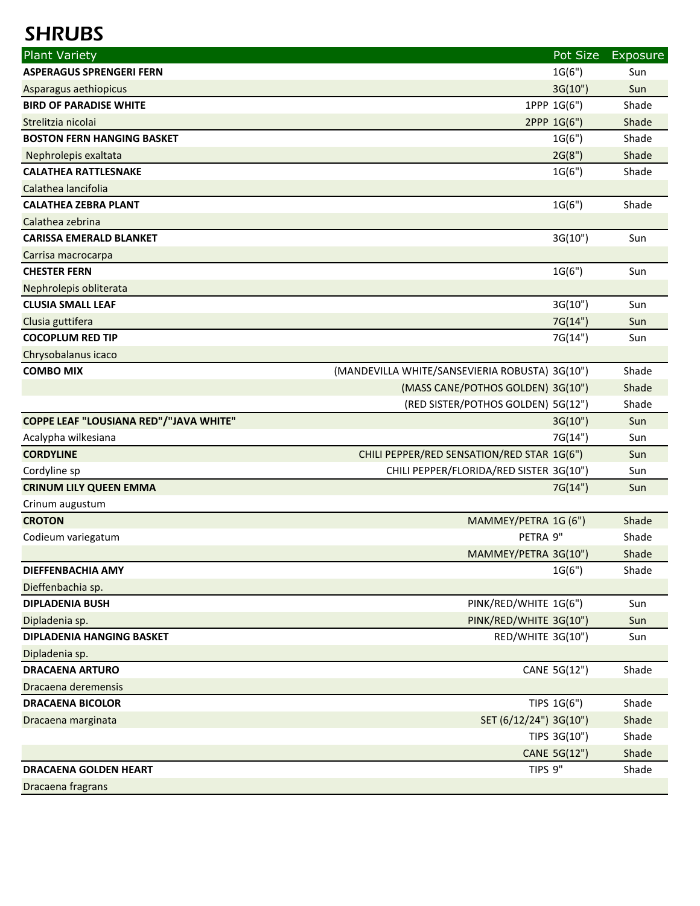| <b>Plant Variety</b>                          |                                                | Pot Size     | Exposure   |
|-----------------------------------------------|------------------------------------------------|--------------|------------|
| <b>ASPERAGUS SPRENGERI FERN</b>               |                                                | 1G(6")       | Sun        |
| Asparagus aethiopicus                         |                                                | 3G(10")      | Sun        |
| <b>BIRD OF PARADISE WHITE</b>                 |                                                | 1PPP 1G(6")  | Shade      |
| Strelitzia nicolai                            |                                                | 2PPP 1G(6")  | Shade      |
| <b>BOSTON FERN HANGING BASKET</b>             |                                                | 1G(6")       | Shade      |
| Nephrolepis exaltata                          |                                                | 2G(8")       | Shade      |
| <b>CALATHEA RATTLESNAKE</b>                   |                                                | 1G(6")       | Shade      |
| Calathea lancifolia                           |                                                |              |            |
| <b>CALATHEA ZEBRA PLANT</b>                   |                                                | 1G(6")       | Shade      |
| Calathea zebrina                              |                                                |              |            |
| <b>CARISSA EMERALD BLANKET</b>                |                                                | 3G(10")      | Sun        |
| Carrisa macrocarpa                            |                                                |              |            |
| <b>CHESTER FERN</b>                           |                                                | 1G(6")       | Sun        |
| Nephrolepis obliterata                        |                                                |              |            |
| <b>CLUSIA SMALL LEAF</b>                      |                                                | 3G(10")      | Sun        |
| Clusia guttifera                              |                                                | 7G(14")      | Sun        |
| <b>COCOPLUM RED TIP</b>                       |                                                | 7G(14")      | Sun        |
| Chrysobalanus icaco                           |                                                |              |            |
| <b>COMBO MIX</b>                              | (MANDEVILLA WHITE/SANSEVIERIA ROBUSTA) 3G(10") |              | Shade      |
|                                               | (MASS CANE/POTHOS GOLDEN) 3G(10")              |              | Shade      |
|                                               | (RED SISTER/POTHOS GOLDEN) 5G(12")             |              | Shade      |
| <b>COPPE LEAF "LOUSIANA RED"/"JAVA WHITE"</b> |                                                | 3G(10")      | Sun        |
| Acalypha wilkesiana                           |                                                | 7G(14")      | Sun        |
| <b>CORDYLINE</b>                              | CHILI PEPPER/RED SENSATION/RED STAR 1G(6")     |              | Sun        |
| Cordyline sp<br><b>CRINUM LILY QUEEN EMMA</b> | CHILI PEPPER/FLORIDA/RED SISTER 3G(10")        | 7G(14")      | Sun<br>Sun |
| Crinum augustum                               |                                                |              |            |
| <b>CROTON</b>                                 | MAMMEY/PETRA 1G (6")                           |              | Shade      |
| Codieum variegatum                            | PETRA 9"                                       |              | Shade      |
|                                               | MAMMEY/PETRA 3G(10")                           |              | Shade      |
| DIEFFENBACHIA AMY                             |                                                | 1G(6")       | Shade      |
| Dieffenbachia sp.                             |                                                |              |            |
| <b>DIPLADENIA BUSH</b>                        | PINK/RED/WHITE 1G(6")                          |              | Sun        |
| Dipladenia sp.                                | PINK/RED/WHITE 3G(10")                         |              | Sun        |
| <b>DIPLADENIA HANGING BASKET</b>              | RED/WHITE 3G(10")                              |              | Sun        |
| Dipladenia sp.                                |                                                |              |            |
| <b>DRACAENA ARTURO</b>                        |                                                | CANE 5G(12") | Shade      |
| Dracaena deremensis                           |                                                |              |            |
| <b>DRACAENA BICOLOR</b>                       |                                                | TIPS 1G(6")  | Shade      |
| Dracaena marginata                            | SET (6/12/24") 3G(10")                         |              | Shade      |
|                                               |                                                | TIPS 3G(10") | Shade      |
|                                               |                                                | CANE 5G(12") | Shade      |
| <b>DRACAENA GOLDEN HEART</b>                  | TIPS 9"                                        |              | Shade      |
| Dracaena fragrans                             |                                                |              |            |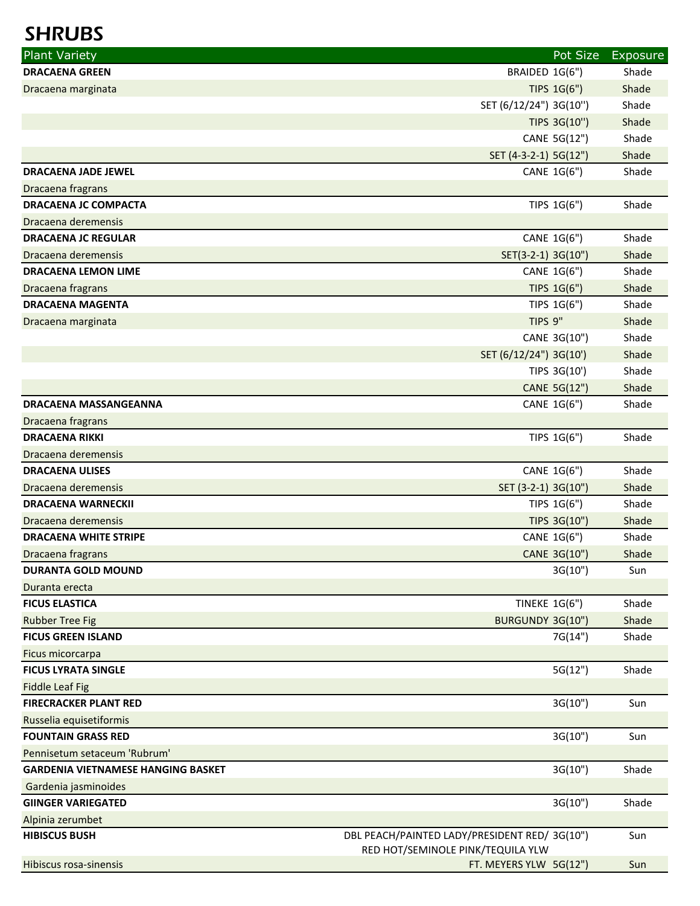| <b>Plant Variety</b>                      | Pot Size                                     | Exposure |
|-------------------------------------------|----------------------------------------------|----------|
| <b>DRACAENA GREEN</b>                     | BRAIDED 1G(6")                               | Shade    |
| Dracaena marginata                        | TIPS 1G(6")                                  | Shade    |
|                                           | SET (6/12/24") 3G(10")                       | Shade    |
|                                           | TIPS 3G(10")                                 | Shade    |
|                                           | CANE 5G(12")                                 | Shade    |
|                                           | SET (4-3-2-1) 5G(12")                        | Shade    |
| <b>DRACAENA JADE JEWEL</b>                | CANE 1G(6")                                  | Shade    |
| Dracaena fragrans                         |                                              |          |
| <b>DRACAENA JC COMPACTA</b>               | TIPS 1G(6")                                  | Shade    |
| Dracaena deremensis                       |                                              |          |
| <b>DRACAENA JC REGULAR</b>                | CANE 1G(6")                                  | Shade    |
| Dracaena deremensis                       | SET(3-2-1) 3G(10")                           | Shade    |
| <b>DRACAENA LEMON LIME</b>                | CANE 1G(6")                                  | Shade    |
| Dracaena fragrans                         | TIPS 1G(6")                                  | Shade    |
| <b>DRACAENA MAGENTA</b>                   | TIPS 1G(6")                                  | Shade    |
| Dracaena marginata                        | TIPS 9"                                      | Shade    |
|                                           | CANE 3G(10")                                 | Shade    |
|                                           | SET (6/12/24") 3G(10')                       | Shade    |
|                                           | TIPS 3G(10')                                 | Shade    |
|                                           | CANE 5G(12")                                 | Shade    |
| <b>DRACAENA MASSANGEANNA</b>              | CANE 1G(6")                                  | Shade    |
| Dracaena fragrans                         |                                              |          |
| <b>DRACAENA RIKKI</b>                     | TIPS 1G(6")                                  | Shade    |
| Dracaena deremensis                       |                                              |          |
| <b>DRACAENA ULISES</b>                    | CANE 1G(6")                                  | Shade    |
| Dracaena deremensis                       | SET (3-2-1) 3G(10")                          | Shade    |
| <b>DRACAENA WARNECKII</b>                 | TIPS 1G(6")                                  | Shade    |
| Dracaena deremensis                       | TIPS 3G(10")                                 | Shade    |
| <b>DRACAENA WHITE STRIPE</b>              | CANE 1G(6")                                  | Shade    |
| Dracaena fragrans                         | CANE 3G(10")                                 | Shade    |
| <b>DURANTA GOLD MOUND</b>                 | 3G(10")                                      | Sun      |
| Duranta erecta                            |                                              |          |
| <b>FICUS ELASTICA</b>                     | <b>TINEKE 1G(6")</b>                         | Shade    |
| <b>Rubber Tree Fig</b>                    | BURGUNDY 3G(10")                             | Shade    |
| <b>FICUS GREEN ISLAND</b>                 | 7G(14")                                      | Shade    |
| Ficus micorcarpa                          |                                              |          |
| <b>FICUS LYRATA SINGLE</b>                | 5G(12")                                      | Shade    |
| <b>Fiddle Leaf Fig</b>                    |                                              |          |
| <b>FIRECRACKER PLANT RED</b>              | 3G(10")                                      | Sun      |
| Russelia equisetiformis                   |                                              |          |
| <b>FOUNTAIN GRASS RED</b>                 | 3G(10")                                      | Sun      |
| Pennisetum setaceum 'Rubrum'              |                                              |          |
| <b>GARDENIA VIETNAMESE HANGING BASKET</b> | 3G(10")                                      | Shade    |
| Gardenia jasminoides                      |                                              |          |
| <b>GIINGER VARIEGATED</b>                 | 3G(10")                                      | Shade    |
| Alpinia zerumbet<br><b>HIBISCUS BUSH</b>  | DBL PEACH/PAINTED LADY/PRESIDENT RED/3G(10") |          |
|                                           | RED HOT/SEMINOLE PINK/TEQUILA YLW            | Sun      |
| Hibiscus rosa-sinensis                    | FT. MEYERS YLW 5G(12")                       | Sun      |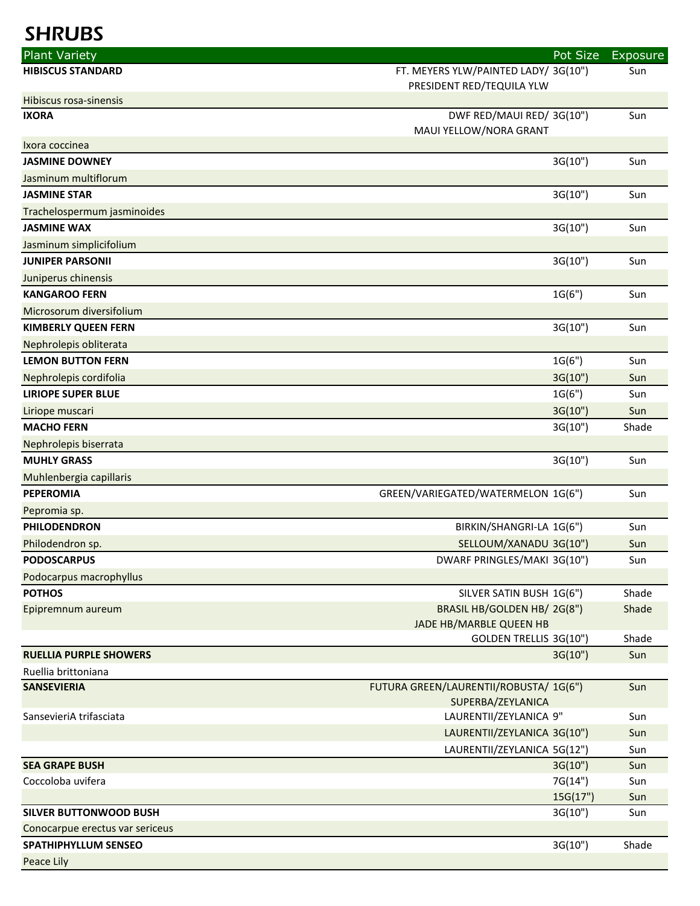| <b>Plant Variety</b>            |                                                                   | Pot Size | <b>Exposure</b> |
|---------------------------------|-------------------------------------------------------------------|----------|-----------------|
| <b>HIBISCUS STANDARD</b>        | FT. MEYERS YLW/PAINTED LADY/ 3G(10")<br>PRESIDENT RED/TEQUILA YLW |          | Sun             |
| <b>Hibiscus rosa-sinensis</b>   |                                                                   |          |                 |
| <b>IXORA</b>                    | DWF RED/MAUI RED/3G(10")<br>MAUI YELLOW/NORA GRANT                |          | Sun             |
| Ixora coccinea                  |                                                                   |          |                 |
| <b>JASMINE DOWNEY</b>           |                                                                   | 3G(10")  | Sun             |
| Jasminum multiflorum            |                                                                   |          |                 |
| <b>JASMINE STAR</b>             |                                                                   | 3G(10")  | Sun             |
| Trachelospermum jasminoides     |                                                                   |          |                 |
| <b>JASMINE WAX</b>              |                                                                   | 3G(10")  | Sun             |
| Jasminum simplicifolium         |                                                                   |          |                 |
| <b>JUNIPER PARSONII</b>         |                                                                   | 3G(10")  | Sun             |
| Juniperus chinensis             |                                                                   |          |                 |
| <b>KANGAROO FERN</b>            |                                                                   | 1G(6")   | Sun             |
| Microsorum diversifolium        |                                                                   |          |                 |
| <b>KIMBERLY QUEEN FERN</b>      |                                                                   | 3G(10")  | Sun             |
| Nephrolepis obliterata          |                                                                   |          |                 |
| <b>LEMON BUTTON FERN</b>        |                                                                   | 1G(6")   | Sun             |
| Nephrolepis cordifolia          |                                                                   | 3G(10")  | Sun             |
| <b>LIRIOPE SUPER BLUE</b>       |                                                                   | 1G(6")   | Sun             |
| Liriope muscari                 |                                                                   | 3G(10")  | Sun             |
| <b>MACHO FERN</b>               |                                                                   | 3G(10")  | Shade           |
| Nephrolepis biserrata           |                                                                   |          |                 |
| <b>MUHLY GRASS</b>              |                                                                   | 3G(10")  | Sun             |
| Muhlenbergia capillaris         |                                                                   |          |                 |
| <b>PEPEROMIA</b>                | GREEN/VARIEGATED/WATERMELON 1G(6")                                |          | Sun             |
| Pepromia sp.                    |                                                                   |          |                 |
| <b>PHILODENDRON</b>             | BIRKIN/SHANGRI-LA 1G(6")                                          |          | Sun             |
| Philodendron sp.                | SELLOUM/XANADU 3G(10")                                            |          | Sun             |
| <b>PODOSCARPUS</b>              | DWARF PRINGLES/MAKI 3G(10")                                       |          | Sun             |
| Podocarpus macrophyllus         |                                                                   |          |                 |
| <b>POTHOS</b>                   | SILVER SATIN BUSH 1G(6")                                          |          | Shade           |
| Epipremnum aureum               | BRASIL HB/GOLDEN HB/2G(8")                                        |          | Shade           |
|                                 | JADE HB/MARBLE QUEEN HB                                           |          |                 |
|                                 | GOLDEN TRELLIS 3G(10")                                            |          | Shade           |
| <b>RUELLIA PURPLE SHOWERS</b>   |                                                                   | 3G(10")  | Sun             |
| Ruellia brittoniana             |                                                                   |          |                 |
| <b>SANSEVIERIA</b>              | FUTURA GREEN/LAURENTII/ROBUSTA/ 1G(6")<br>SUPERBA/ZEYLANICA       |          | Sun             |
| SansevieriA trifasciata         | LAURENTII/ZEYLANICA 9"                                            |          | Sun             |
|                                 | LAURENTII/ZEYLANICA 3G(10")                                       |          | Sun             |
|                                 | LAURENTII/ZEYLANICA 5G(12")                                       |          | Sun             |
| <b>SEA GRAPE BUSH</b>           |                                                                   | 3G(10")  | Sun             |
| Coccoloba uvifera               |                                                                   | 7G(14")  | Sun             |
|                                 |                                                                   | 15G(17") | Sun             |
| <b>SILVER BUTTONWOOD BUSH</b>   |                                                                   | 3G(10")  | Sun             |
| Conocarpue erectus var sericeus |                                                                   |          |                 |
| <b>SPATHIPHYLLUM SENSEO</b>     |                                                                   | 3G(10")  | Shade           |
| Peace Lily                      |                                                                   |          |                 |